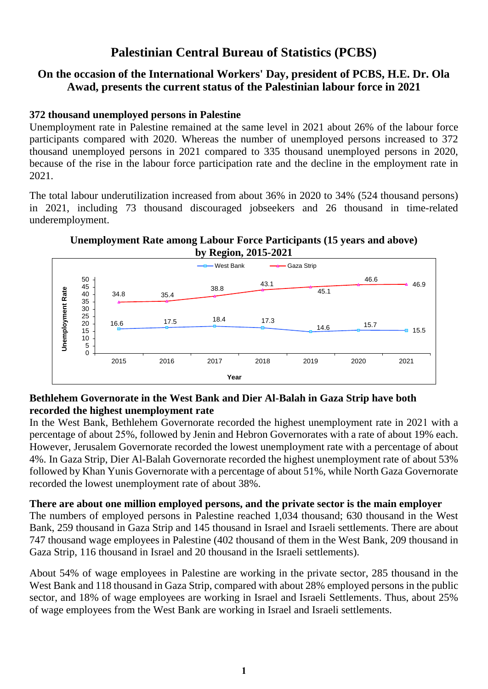# **Palestinian Central Bureau of Statistics (PCBS)**

## **On the occasion of the International Workers' Day, president of PCBS, H.E. Dr. Ola Awad, presents the current status of the Palestinian labour force in 2021**

#### **372 thousand unemployed persons in Palestine**

Unemployment rate in Palestine remained at the same level in 2021 about 26% of the labour force participants compared with 2020. Whereas the number of unemployed persons increased to 372 thousand unemployed persons in 2021 compared to 335 thousand unemployed persons in 2020, because of the rise in the labour force participation rate and the decline in the employment rate in 2021.

The total labour underutilization increased from about 36% in 2020 to 34% (524 thousand persons) in 2021, including 73 thousand discouraged jobseekers and 26 thousand in time-related underemployment.





### **Bethlehem Governorate in the West Bank and Dier Al-Balah in Gaza Strip have both recorded the highest unemployment rate**

In the West Bank, Bethlehem Governorate recorded the highest unemployment rate in 2021 with a percentage of about 25%, followed by Jenin and Hebron Governorates with a rate of about 19% each. However, Jerusalem Governorate recorded the lowest unemployment rate with a percentage of about 4%. In Gaza Strip, Dier Al-Balah Governorate recorded the highest unemployment rate of about 53% followed by Khan Yunis Governorate with a percentage of about 51%, while North Gaza Governorate recorded the lowest unemployment rate of about 38%.

#### **There are about one million employed persons, and the private sector is the main employer**

The numbers of employed persons in Palestine reached 1,034 thousand; 630 thousand in the West Bank, 259 thousand in Gaza Strip and 145 thousand in Israel and Israeli settlements. There are about 747 thousand wage employees in Palestine (402 thousand of them in the West Bank, 209 thousand in Gaza Strip, 116 thousand in Israel and 20 thousand in the Israeli settlements).

About 54% of wage employees in Palestine are working in the private sector, 285 thousand in the West Bank and 118 thousand in Gaza Strip, compared with about 28% employed persons in the public sector, and 18% of wage employees are working in Israel and Israeli Settlements. Thus, about 25% of wage employees from the West Bank are working in Israel and Israeli settlements.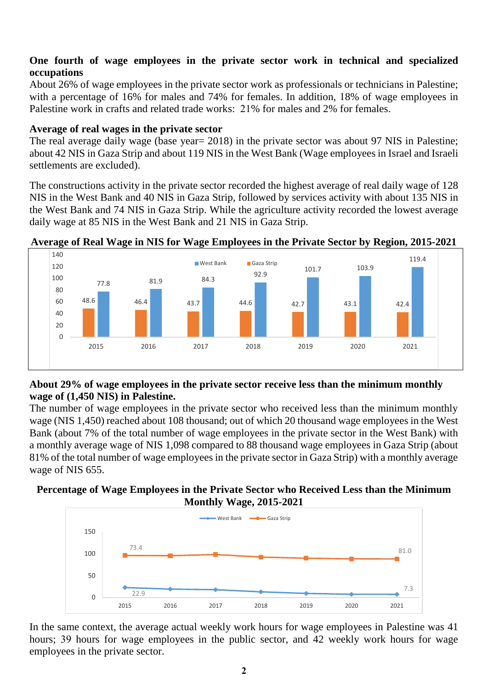### **One fourth of wage employees in the private sector work in technical and specialized occupations**

About 26% of wage employees in the private sector work as professionals or technicians in Palestine; with a percentage of 16% for males and 74% for females. In addition, 18% of wage employees in Palestine work in crafts and related trade works: 21% for males and 2% for females.

### **Average of real wages in the private sector**

The real average daily wage (base year= 2018) in the private sector was about 97 NIS in Palestine; about 42 NIS in Gaza Strip and about 119 NIS in the West Bank (Wage employees in Israel and Israeli settlements are excluded).

The constructions activity in the private sector recorded the highest average of real daily wage of 128 NIS in the West Bank and 40 NIS in Gaza Strip, followed by services activity with about 135 NIS in the West Bank and 74 NIS in Gaza Strip. While the agriculture activity recorded the lowest average daily wage at 85 NIS in the West Bank and 21 NIS in Gaza Strip.



## **Average of Real Wage in NIS for Wage Employees in the Private Sector by Region, 2015-2021**

# **About 29% of wage employees in the private sector receive less than the minimum monthly wage of (1,450 NIS) in Palestine.**

The number of wage employees in the private sector who received less than the minimum monthly wage (NIS 1,450) reached about 108 thousand; out of which 20 thousand wage employees in the West Bank (about 7% of the total number of wage employees in the private sector in the West Bank) with a monthly average wage of NIS 1,098 compared to 88 thousand wage employees in Gaza Strip (about 81% of the total number of wage employees in the private sector in Gaza Strip) with a monthly average wage of NIS 655.

# **Percentage of Wage Employees in the Private Sector who Received Less than the Minimum Monthly Wage, 2015-2021**



In the same context, the average actual weekly work hours for wage employees in Palestine was 41 hours; 39 hours for wage employees in the public sector, and 42 weekly work hours for wage employees in the private sector.